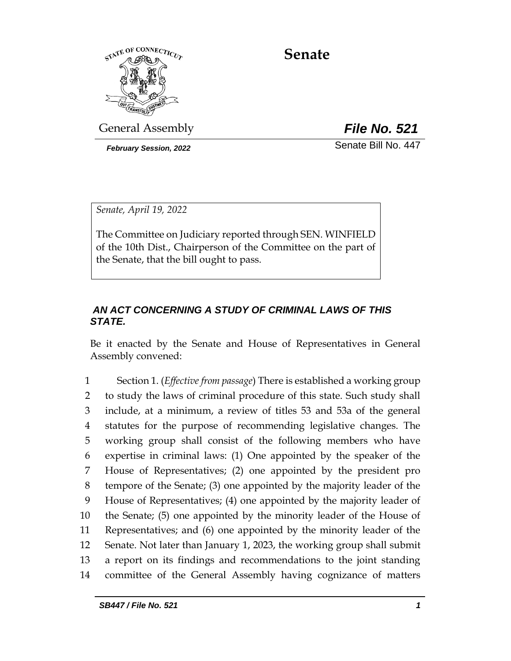

# **Senate**

General Assembly *File No. 521*

*February Session, 2022* Senate Bill No. 447

*Senate, April 19, 2022*

The Committee on Judiciary reported through SEN. WINFIELD of the 10th Dist., Chairperson of the Committee on the part of the Senate, that the bill ought to pass.

## *AN ACT CONCERNING A STUDY OF CRIMINAL LAWS OF THIS STATE.*

Be it enacted by the Senate and House of Representatives in General Assembly convened:

 Section 1. (*Effective from passage*) There is established a working group to study the laws of criminal procedure of this state. Such study shall include, at a minimum, a review of titles 53 and 53a of the general statutes for the purpose of recommending legislative changes. The working group shall consist of the following members who have expertise in criminal laws: (1) One appointed by the speaker of the House of Representatives; (2) one appointed by the president pro tempore of the Senate; (3) one appointed by the majority leader of the House of Representatives; (4) one appointed by the majority leader of the Senate; (5) one appointed by the minority leader of the House of Representatives; and (6) one appointed by the minority leader of the Senate. Not later than January 1, 2023, the working group shall submit a report on its findings and recommendations to the joint standing committee of the General Assembly having cognizance of matters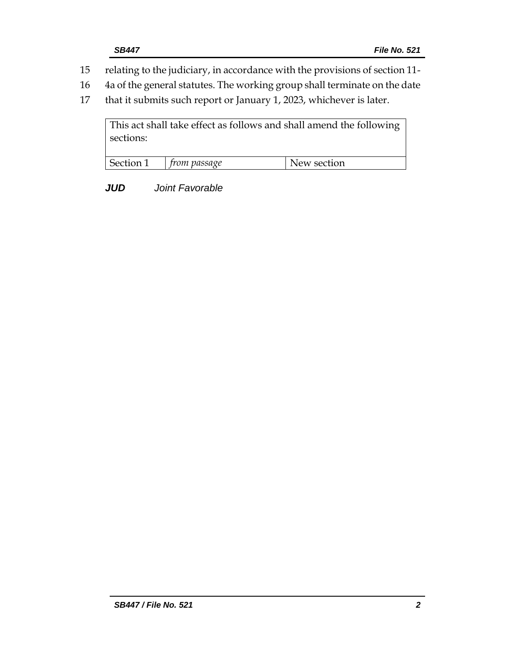- 15 relating to the judiciary, in accordance with the provisions of section 11-
- 16 4a of the general statutes. The working group shall terminate on the date
- 17 that it submits such report or January 1, 2023, whichever is later.

This act shall take effect as follows and shall amend the following sections: Section 1 *from passage* New section

*JUD Joint Favorable*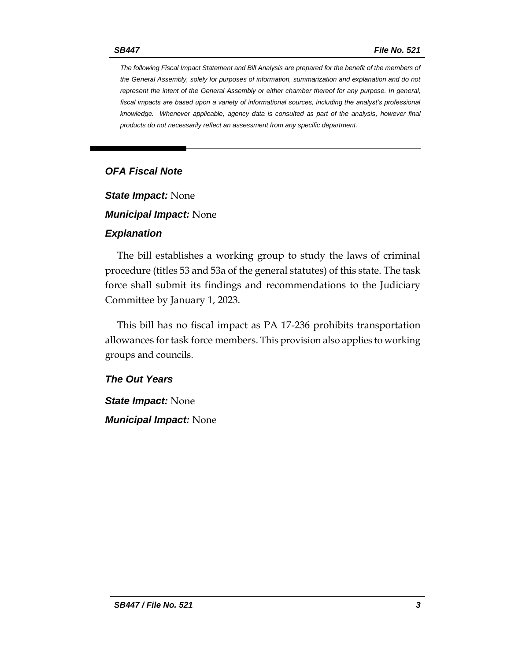*The following Fiscal Impact Statement and Bill Analysis are prepared for the benefit of the members of the General Assembly, solely for purposes of information, summarization and explanation and do not represent the intent of the General Assembly or either chamber thereof for any purpose. In general,*  fiscal impacts are based upon a variety of informational sources, including the analyst's professional *knowledge. Whenever applicable, agency data is consulted as part of the analysis, however final products do not necessarily reflect an assessment from any specific department.*

## *OFA Fiscal Note*

*State Impact:* None

*Municipal Impact:* None

#### *Explanation*

The bill establishes a working group to study the laws of criminal procedure (titles 53 and 53a of the general statutes) of this state. The task force shall submit its findings and recommendations to the Judiciary Committee by January 1, 2023.

This bill has no fiscal impact as PA 17-236 prohibits transportation allowances for task force members. This provision also applies to working groups and councils.

#### *The Out Years*

*State Impact:* None *Municipal Impact:* None